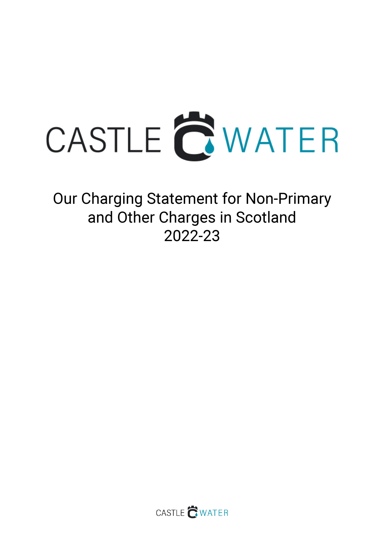

Our Charging Statement for Non-Primary and Other Charges in Scotland 2022-23

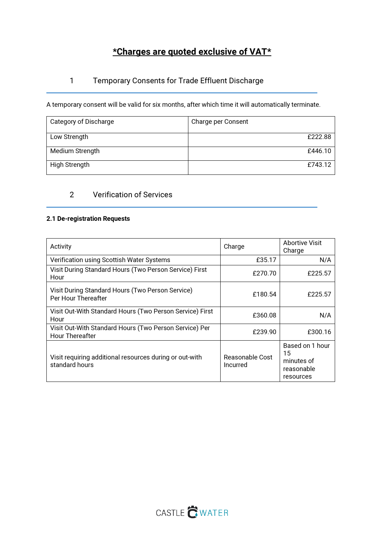# \*Charges are quoted exclusive of VAT\*

## 1 Temporary Consents for Trade Effluent Discharge

A temporary consent will be valid for six months, after which time it will automatically terminate.

| Category of Discharge | Charge per Consent |
|-----------------------|--------------------|
| Low Strength          | £222.88            |
| Medium Strength       | £446.10            |
| High Strength         | £743.12            |

## 2 Verification of Services

### 2.1 De-registration Requests

| Activity                                                                         | Charge                      | Abortive Visit<br>Charge                                       |
|----------------------------------------------------------------------------------|-----------------------------|----------------------------------------------------------------|
| Verification using Scottish Water Systems                                        | £35.17                      | N/A                                                            |
| Visit During Standard Hours (Two Person Service) First<br>Hour                   | £270.70                     | £225.57                                                        |
| Visit During Standard Hours (Two Person Service)<br>Per Hour Thereafter          | £180.54                     | £225.57                                                        |
| Visit Out-With Standard Hours (Two Person Service) First<br>Hour                 | £360.08                     | N/A                                                            |
| Visit Out-With Standard Hours (Two Person Service) Per<br><b>Hour Thereafter</b> | £239.90                     | £300.16                                                        |
| Visit requiring additional resources during or out-with<br>standard hours        | Reasonable Cost<br>Incurred | Based on 1 hour<br>15<br>minutes of<br>reasonable<br>resources |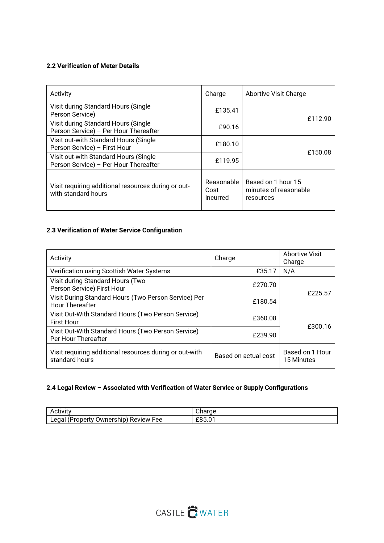### 2.2 Verification of Meter Details

| Activity                                                                       | Charge                         | Abortive Visit Charge                                    |
|--------------------------------------------------------------------------------|--------------------------------|----------------------------------------------------------|
| Visit during Standard Hours (Single<br>Person Service)                         | £135.41                        | £112.90                                                  |
| Visit during Standard Hours (Single<br>Person Service) - Per Hour Thereafter   | £90.16                         |                                                          |
| Visit out-with Standard Hours (Single<br>Person Service) - First Hour          | £180.10                        | £150.08                                                  |
| Visit out-with Standard Hours (Single<br>Person Service) - Per Hour Thereafter | £119.95                        |                                                          |
| Visit requiring additional resources during or out-<br>with standard hours     | Reasonable<br>Cost<br>Incurred | Based on 1 hour 15<br>minutes of reasonable<br>resources |

## 2.3 Verification of Water Service Configuration

| Activity                                                                       | Charge               | <b>Abortive Visit</b><br>Charge |
|--------------------------------------------------------------------------------|----------------------|---------------------------------|
| Verification using Scottish Water Systems                                      | £35.17               | N/A                             |
| Visit during Standard Hours (Two<br>Person Service) First Hour                 | £270.70              | £225.57                         |
| Visit During Standard Hours (Two Person Service) Per<br><b>Hour Thereafter</b> | £180.54              |                                 |
| Visit Out-With Standard Hours (Two Person Service)<br><b>First Hour</b>        | £360.08              | £300.16                         |
| Visit Out-With Standard Hours (Two Person Service)<br>Per Hour Thereafter      | £239.90              |                                 |
| Visit requiring additional resources during or out-with<br>standard hours      | Based on actual cost | Based on 1 Hour<br>15 Minutes   |

## 2.4 Legal Review – Associated with Verification of Water Service or Supply Configurations

| . .                                                            | н.                             |
|----------------------------------------------------------------|--------------------------------|
| Activitv                                                       | .                              |
| edal<br>Jwnership<br>. Pronert :<br><b>Review</b><br>ee-<br>-- | $\sim$<br>$\sim$<br>-<br>-00.0 |

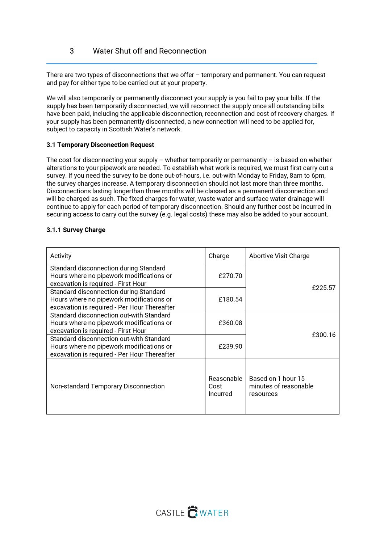There are two types of disconnections that we offer – temporary and permanent. You can request and pay for either type to be carried out at your property.

We will also temporarily or permanently disconnect your supply is you fail to pay your bills. If the supply has been temporarily disconnected, we will reconnect the supply once all outstanding bills have been paid, including the applicable disconnection, reconnection and cost of recovery charges. If your supply has been permanently disconnected, a new connection will need to be applied for, subject to capacity in Scottish Water's network.

#### 3.1 Temporary Disconection Request

The cost for disconnecting your supply – whether temporarily or permanently – is based on whether alterations to your pipework are needed. To establish what work is required, we must first carry out a survey. If you need the survey to be done out-of-hours, i.e. out-with Monday to Friday, 8am to 6pm, the survey charges increase. A temporary disconnection should not last more than three months. Disconnections lasting longerthan three months will be classed as a permanent disconnection and will be charged as such. The fixed charges for water, waste water and surface water drainage will continue to apply for each period of temporary disconnection. Should any further cost be incurred in securing access to carry out the survey (e.g. legal costs) these may also be added to your account.

#### 3.1.1 Survey Charge

| Activity                                                                                                                             | Charge                         | <b>Abortive Visit Charge</b>                             |
|--------------------------------------------------------------------------------------------------------------------------------------|--------------------------------|----------------------------------------------------------|
| Standard disconnection during Standard<br>Hours where no pipework modifications or<br>excavation is required - First Hour            | £270.70                        |                                                          |
| Standard disconnection during Standard<br>Hours where no pipework modifications or<br>excavation is required - Per Hour Thereafter   | £180.54                        | £225.57                                                  |
| Standard disconnection out-with Standard<br>Hours where no pipework modifications or<br>excavation is required - First Hour          | £360.08                        | £300.16                                                  |
| Standard disconnection out-with Standard<br>Hours where no pipework modifications or<br>excavation is required - Per Hour Thereafter | £239.90                        |                                                          |
| Non-standard Temporary Disconnection                                                                                                 | Reasonable<br>Cost<br>Incurred | Based on 1 hour 15<br>minutes of reasonable<br>resources |

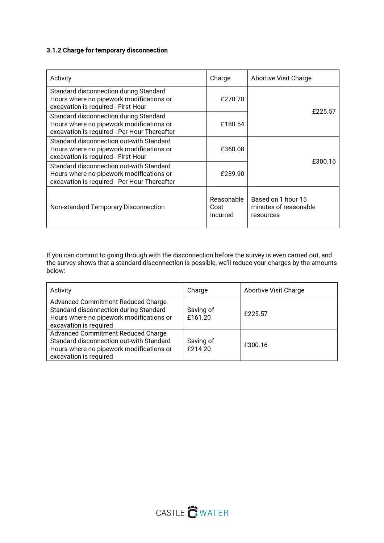### 3.1.2 Charge for temporary disconnection

| Activity                                                                                                                             | Charge                         | Abortive Visit Charge                                    |
|--------------------------------------------------------------------------------------------------------------------------------------|--------------------------------|----------------------------------------------------------|
| Standard disconnection during Standard<br>Hours where no pipework modifications or<br>excavation is required - First Hour            | £270.70                        | £225.57                                                  |
| Standard disconnection during Standard<br>Hours where no pipework modifications or<br>excavation is required - Per Hour Thereafter   | £180.54                        |                                                          |
| Standard disconnection out-with Standard<br>Hours where no pipework modifications or<br>excavation is required - First Hour          | £360.08                        |                                                          |
| Standard disconnection out-with Standard<br>Hours where no pipework modifications or<br>excavation is required - Per Hour Thereafter | £239.90                        | £300.16                                                  |
| Non-standard Temporary Disconnection                                                                                                 | Reasonable<br>Cost<br>Incurred | Based on 1 hour 15<br>minutes of reasonable<br>resources |

If you can commit to going through with the disconnection before the survey is even carried out, and the survey shows that a standard disconnection is possible, we'll reduce your charges by the amounts below:

| Activity                                                                                                                                             | Charge               | <b>Abortive Visit Charge</b> |
|------------------------------------------------------------------------------------------------------------------------------------------------------|----------------------|------------------------------|
| Advanced Commitment Reduced Charge<br>Standard disconnection during Standard<br>Hours where no pipework modifications or<br>excavation is required   | Saving of<br>£161.20 | £225.57                      |
| Advanced Commitment Reduced Charge<br>Standard disconnection out-with Standard<br>Hours where no pipework modifications or<br>excavation is required | Saving of<br>£214.20 | £300.16                      |

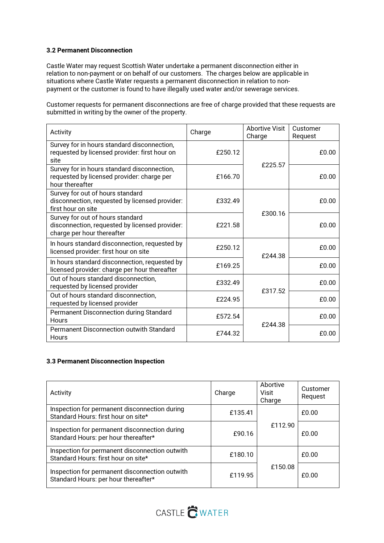### 3.2 Permanent Disconnection

Castle Water may request Scottish Water undertake a permanent disconnection either in relation to non‐payment or on behalf of our customers. The charges below are applicable in situations where Castle Water requests a permanent disconnection in relation to non‐ payment or the customer is found to have illegally used water and/or sewerage services.

Customer requests for permanent disconnections are free of charge provided that these requests are submitted in writing by the owner of the property.

| Activity                                                                                                         | Charge  | Abortive Visit<br>Charge | Customer<br>Request |
|------------------------------------------------------------------------------------------------------------------|---------|--------------------------|---------------------|
| Survey for in hours standard disconnection,<br>requested by licensed provider: first hour on<br>site             | £250.12 | £225.57                  | £0.00               |
| Survey for in hours standard disconnection,<br>requested by licensed provider: charge per<br>hour thereafter     | £166.70 |                          | £0.00               |
| Survey for out of hours standard<br>disconnection, requested by licensed provider:<br>first hour on site         | £332.49 |                          | £0.00               |
| Survey for out of hours standard<br>disconnection, requested by licensed provider:<br>charge per hour thereafter | £221.58 | £300.16                  | £0.00               |
| In hours standard disconnection, requested by<br>licensed provider: first hour on site                           | £250.12 | £244.38                  | £0.00               |
| In hours standard disconnection, requested by<br>licensed provider: charge per hour thereafter                   | £169.25 |                          | £0.00               |
| Out of hours standard disconnection,<br>requested by licensed provider                                           | £332.49 | £317.52                  | £0.00               |
| Out of hours standard disconnection,<br>requested by licensed provider                                           | £224.95 |                          | £0.00               |
| Permanent Disconnection during Standard<br><b>Hours</b>                                                          | £572.54 | £244.38                  | £0.00               |
| <b>Permanent Disconnection outwith Standard</b><br>Hours                                                         | £744.32 |                          | £0.00               |

#### 3.3 Permanent Disconnection Inspection

| Activity                                                                               | Charge  | Abortive<br>Visit<br>Charge | Customer<br>Request |
|----------------------------------------------------------------------------------------|---------|-----------------------------|---------------------|
| Inspection for permanent disconnection during<br>Standard Hours: first hour on site*   | £135.41 |                             | f0.00               |
| Inspection for permanent disconnection during<br>Standard Hours: per hour thereafter*  | £90.16  | £112.90                     | £0.00               |
| Inspection for permanent disconnection outwith<br>Standard Hours: first hour on site*  | £180.10 |                             | £0.00               |
| Inspection for permanent disconnection outwith<br>Standard Hours: per hour thereafter* | £119.95 | £150.08                     | f0.00               |

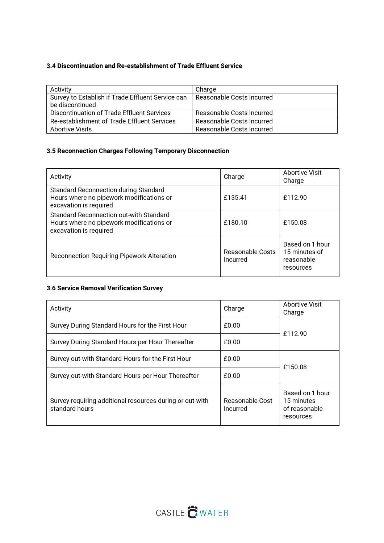### 3.4 Discontinuation and Re-establishment of Trade Effluent Service

| Activity                                          | Charge                    |
|---------------------------------------------------|---------------------------|
| Survey to Establish if Trade Effluent Service can | Reasonable Costs Incurred |
| be discontinued                                   |                           |
| Discontinuation of Trade Effluent Services        | Reasonable Costs Incurred |
| Re-establishment of Trade Effluent Services       | Reasonable Costs Incurred |
| Abortive Visits                                   | Reasonable Costs Incurred |

## 3.5 Reconnection Charges Following Temporary Disconnection

| Activity                                                                                                             | Charge                       | <b>Abortive Visit</b><br>Charge                             |
|----------------------------------------------------------------------------------------------------------------------|------------------------------|-------------------------------------------------------------|
| <b>Standard Reconnection during Standard</b><br>Hours where no pipework modifications or<br>excavation is required   | £135.41                      | £112.90                                                     |
| <b>Standard Reconnection out-with Standard</b><br>Hours where no pipework modifications or<br>excavation is required | £180.10                      | £150.08                                                     |
| Reconnection Requiring Pipework Alteration                                                                           | Reasonable Costs<br>Incurred | Based on 1 hour<br>15 minutes of<br>reasonable<br>resources |

## 3.6 Service Removal Verification Survey

| Activity                                                                   | Charge                      | <b>Abortive Visit</b><br>Charge                             |  |  |
|----------------------------------------------------------------------------|-----------------------------|-------------------------------------------------------------|--|--|
| Survey During Standard Hours for the First Hour                            | £0.00                       | £112.90                                                     |  |  |
| Survey During Standard Hours per Hour Thereafter                           | £0.00                       |                                                             |  |  |
| Survey out-with Standard Hours for the First Hour                          | £0.00                       | £150.08                                                     |  |  |
| Survey out-with Standard Hours per Hour Thereafter                         | £0.00                       |                                                             |  |  |
| Survey requiring additional resources during or out-with<br>standard hours | Reasonable Cost<br>Incurred | Based on 1 hour<br>15 minutes<br>of reasonable<br>resources |  |  |

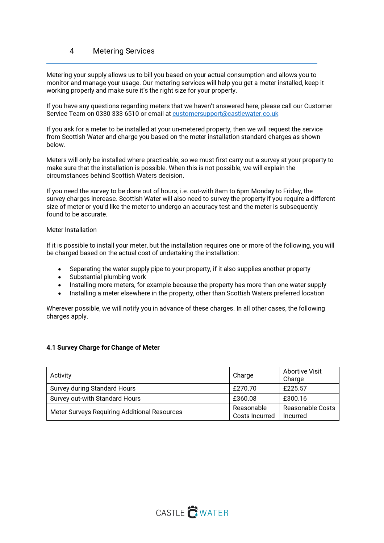## 4 Metering Services

Metering your supply allows us to bill you based on your actual consumption and allows you to monitor and manage your usage. Our metering services will help you get a meter installed, keep it working properly and make sure it's the right size for your property.

If you have any questions regarding meters that we haven't answered here, please call our Customer Service Team on 0330 333 6510 or email at customersupport@castlewater.co.uk

If you ask for a meter to be installed at your un-metered property, then we will request the service from Scottish Water and charge you based on the meter installation standard charges as shown below.

Meters will only be installed where practicable, so we must first carry out a survey at your property to make sure that the installation is possible. When this is not possible, we will explain the circumstances behind Scottish Waters decision.

If you need the survey to be done out of hours, i.e. out-with 8am to 6pm Monday to Friday, the survey charges increase. Scottish Water will also need to survey the property if you require a different size of meter or you'd like the meter to undergo an accuracy test and the meter is subsequently found to be accurate.

#### Meter Installation

If it is possible to install your meter, but the installation requires one or more of the following, you will be charged based on the actual cost of undertaking the installation:

- Separating the water supply pipe to your property, if it also supplies another property
- Substantial plumbing work
- Installing more meters, for example because the property has more than one water supply
- Installing a meter elsewhere in the property, other than Scottish Waters preferred location

Wherever possible, we will notify you in advance of these charges. In all other cases, the following charges apply.

#### 4.1 Survey Charge for Change of Meter

| Activity                                     | Charge                       | <b>Abortive Visit</b><br>Charge |
|----------------------------------------------|------------------------------|---------------------------------|
| <b>Survey during Standard Hours</b>          | £270.70                      | £225.57                         |
| Survey out-with Standard Hours               | £360.08                      | £300.16                         |
| Meter Surveys Requiring Additional Resources | Reasonable<br>Costs Incurred | Reasonable Costs<br>Incurred    |

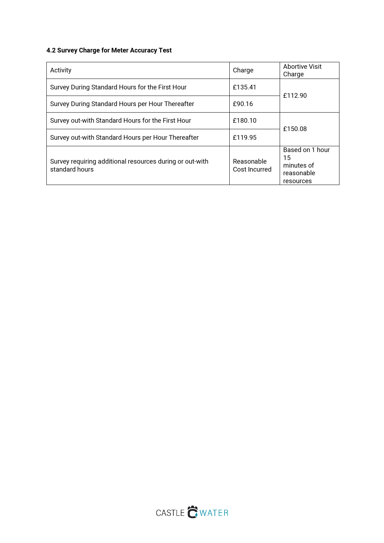## 4.2 Survey Charge for Meter Accuracy Test

| Activity                                                                   | Charge                      | <b>Abortive Visit</b><br>Charge                                |  |  |  |
|----------------------------------------------------------------------------|-----------------------------|----------------------------------------------------------------|--|--|--|
| Survey During Standard Hours for the First Hour                            | £135.41                     | £112.90                                                        |  |  |  |
| Survey During Standard Hours per Hour Thereafter                           | £90.16                      |                                                                |  |  |  |
| Survey out-with Standard Hours for the First Hour                          | £180.10                     | £150.08                                                        |  |  |  |
| Survey out-with Standard Hours per Hour Thereafter                         | £119.95                     |                                                                |  |  |  |
| Survey requiring additional resources during or out-with<br>standard hours | Reasonable<br>Cost Incurred | Based on 1 hour<br>15<br>minutes of<br>reasonable<br>resources |  |  |  |

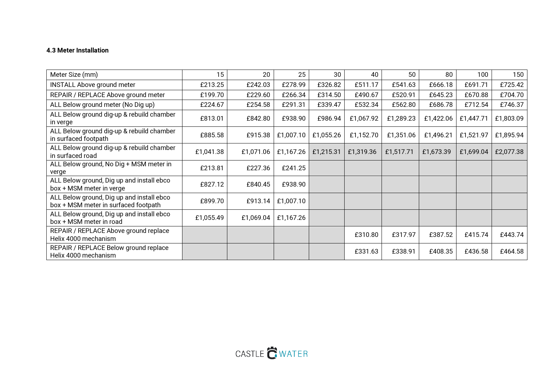## 4.3 Meter Installation

| Meter Size (mm)                                                                   | 15        | 20        | 25        | 30        | 40        | 50        | 80        | 100       | 150       |
|-----------------------------------------------------------------------------------|-----------|-----------|-----------|-----------|-----------|-----------|-----------|-----------|-----------|
| <b>INSTALL Above ground meter</b>                                                 | £213.25   | £242.03   | £278.99   | £326.82   | £511.17   | £541.63   | £666.18   | £691.71   | £725.42   |
| REPAIR / REPLACE Above ground meter                                               | £199.70   | £229.60   | £266.34   | £314.50   | £490.67   | £520.91   | £645.23   | £670.88   | £704.70   |
| ALL Below ground meter (No Dig up)                                                | £224.67   | £254.58   | £291.31   | £339.47   | £532.34   | £562.80   | £686.78   | £712.54   | £746.37   |
| ALL Below ground dig-up & rebuild chamber<br>in verge                             | £813.01   | £842.80   | £938.90   | £986.94   | £1,067.92 | £1,289.23 | £1,422.06 | £1,447.71 | £1,803.09 |
| ALL Below ground dig-up & rebuild chamber<br>in surfaced footpath                 | £885.58   | £915.38   | £1,007.10 | £1,055.26 | £1,152.70 | £1,351.06 | £1,496.21 | £1,521.97 | £1,895.94 |
| ALL Below ground dig-up & rebuild chamber<br>in surfaced road                     | £1,041.38 | £1,071.06 | £1,167.26 | £1,215.31 | £1,319.36 | £1,517.71 | £1,673.39 | £1,699.04 | £2,077.38 |
| ALL Below ground, No Dig + MSM meter in<br>verge                                  | £213.81   | £227.36   | £241.25   |           |           |           |           |           |           |
| ALL Below ground, Dig up and install ebco<br>box + MSM meter in verge             | £827.12   | £840.45   | £938.90   |           |           |           |           |           |           |
| ALL Below ground, Dig up and install ebco<br>box + MSM meter in surfaced footpath | £899.70   | £913.14   | £1,007.10 |           |           |           |           |           |           |
| ALL Below ground, Dig up and install ebco<br>box + MSM meter in road              | £1,055.49 | £1,069.04 | £1,167.26 |           |           |           |           |           |           |
| REPAIR / REPLACE Above ground replace<br>Helix 4000 mechanism                     |           |           |           |           | £310.80   | £317.97   | £387.52   | £415.74   | £443.74   |
| REPAIR / REPLACE Below ground replace<br>Helix 4000 mechanism                     |           |           |           |           | £331.63   | £338.91   | £408.35   | £436.58   | £464.58   |

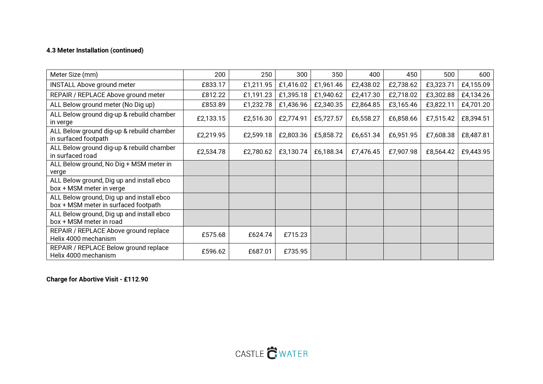### 4.3 Meter Installation (continued)

| Meter Size (mm)                                                                   | 200       | 250       | 300       | 350       | 400       | 450       | 500       | 600       |
|-----------------------------------------------------------------------------------|-----------|-----------|-----------|-----------|-----------|-----------|-----------|-----------|
| <b>INSTALL Above ground meter</b>                                                 | £833.17   | £1,211.95 | £1,416.02 | £1,961.46 | £2,438.02 | £2,738.62 | £3,323.71 | £4,155.09 |
| REPAIR / REPLACE Above ground meter                                               | £812.22   | £1,191.23 | £1,395.18 | £1,940.62 | £2,417.30 | £2,718.02 | £3,302.88 | £4,134.26 |
| ALL Below ground meter (No Dig up)                                                | £853.89   | £1,232.78 | £1,436.96 | £2,340.35 | £2,864.85 | £3,165.46 | £3,822.11 | £4,701.20 |
| ALL Below ground dig-up & rebuild chamber<br>in verge                             | £2,133.15 | £2,516.30 | £2,774.91 | £5,727.57 | £6,558.27 | £6,858.66 | £7,515.42 | £8,394.51 |
| ALL Below ground dig-up & rebuild chamber<br>in surfaced footpath                 | £2,219.95 | £2,599.18 | £2,803.36 | £5,858.72 | £6,651.34 | £6,951.95 | £7,608.38 | £8,487.81 |
| ALL Below ground dig-up & rebuild chamber<br>in surfaced road                     | £2,534.78 | £2,780.62 | £3,130.74 | £6,188.34 | £7,476.45 | £7,907.98 | £8,564.42 | £9,443.95 |
| ALL Below ground, No Dig + MSM meter in<br>verge                                  |           |           |           |           |           |           |           |           |
| ALL Below ground, Dig up and install ebco<br>box + MSM meter in verge             |           |           |           |           |           |           |           |           |
| ALL Below ground, Dig up and install ebco<br>box + MSM meter in surfaced footpath |           |           |           |           |           |           |           |           |
| ALL Below ground, Dig up and install ebco<br>box + MSM meter in road              |           |           |           |           |           |           |           |           |
| REPAIR / REPLACE Above ground replace<br>Helix 4000 mechanism                     | £575.68   | £624.74   | £715.23   |           |           |           |           |           |
| REPAIR / REPLACE Below ground replace<br>Helix 4000 mechanism                     | £596.62   | £687.01   | £735.95   |           |           |           |           |           |

Charge for Abortive Visit - £112.90

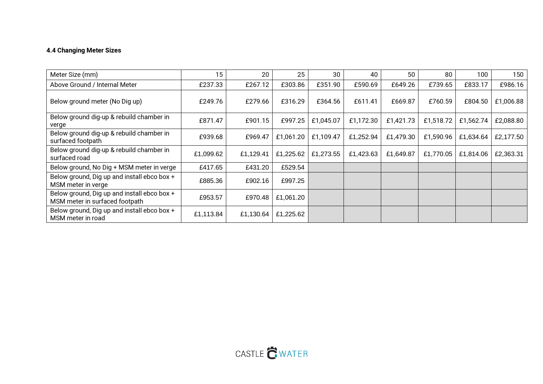## 4.4 Changing Meter Sizes

| Meter Size (mm)                                                               | 15        | 20        | 25        | 30        | 40        | 50        | 80        | 100       | 150       |
|-------------------------------------------------------------------------------|-----------|-----------|-----------|-----------|-----------|-----------|-----------|-----------|-----------|
| Above Ground / Internal Meter                                                 | £237.33   | £267.12   | £303.86   | £351.90   | £590.69   | £649.26   | £739.65   | £833.17   | £986.16   |
| Below ground meter (No Dig up)                                                | £249.76   | £279.66   | £316.29   | £364.56   | £611.41   | £669.87   | £760.59   | £804.50   | £1,006.88 |
| Below ground dig-up & rebuild chamber in<br>verge                             | £871.47   | £901.15   | £997.25   | £1,045.07 | £1,172.30 | £1,421.73 | £1,518.72 | £1,562.74 | £2,088.80 |
| Below ground dig-up & rebuild chamber in<br>surfaced footpath                 | £939.68   | £969.47   | £1,061.20 | £1,109.47 | £1,252.94 | £1,479.30 | £1,590.96 | £1,634.64 | £2,177.50 |
| Below ground dig-up & rebuild chamber in<br>surfaced road                     | £1,099.62 | £1,129.41 | £1,225.62 | £1,273.55 | £1,423.63 | £1,649.87 | £1,770.05 | £1,814.06 | £2,363.31 |
| Below ground, No Dig + MSM meter in verge                                     | £417.65   | £431.20   | £529.54   |           |           |           |           |           |           |
| Below ground, Dig up and install ebco box +<br>MSM meter in verge             | £885.36   | £902.16   | £997.25   |           |           |           |           |           |           |
| Below ground, Dig up and install ebco box +<br>MSM meter in surfaced footpath | £953.57   | £970.48   | £1,061.20 |           |           |           |           |           |           |
| Below ground, Dig up and install ebco box +<br>MSM meter in road              | £1,113.84 | £1,130.64 | £1,225.62 |           |           |           |           |           |           |

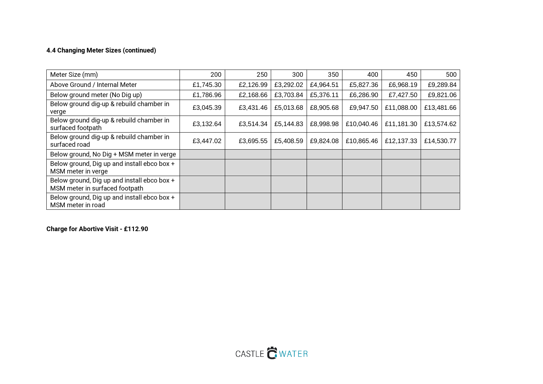### 4.4 Changing Meter Sizes (continued)

| Meter Size (mm)                                                               | 200       | 250       | 300       | 350       | 400        | 450        | 500        |
|-------------------------------------------------------------------------------|-----------|-----------|-----------|-----------|------------|------------|------------|
| Above Ground / Internal Meter                                                 | £1,745.30 | £2,126.99 | £3,292.02 | £4,964.51 | £5,827.36  | £6,968.19  | £9,289.84  |
| Below ground meter (No Dig up)                                                | £1,786.96 | £2,168.66 | £3,703.84 | £5,376.11 | £6,286.90  | £7,427.50  | £9,821.06  |
| Below ground dig-up & rebuild chamber in<br>verge                             | £3,045.39 | £3,431.46 | £5,013.68 | £8,905.68 | £9,947.50  | £11,088.00 | £13,481.66 |
| Below ground dig-up & rebuild chamber in<br>surfaced footpath                 | £3,132.64 | £3,514.34 | £5,144.83 | £8,998.98 | £10,040.46 | £11,181.30 | £13,574.62 |
| Below ground dig-up & rebuild chamber in<br>surfaced road                     | £3,447.02 | £3,695.55 | £5,408.59 | £9,824.08 | £10,865.46 | £12,137.33 | £14,530.77 |
| Below ground, No Dig + MSM meter in verge                                     |           |           |           |           |            |            |            |
| Below ground, Dig up and install ebco box +<br>MSM meter in verge             |           |           |           |           |            |            |            |
| Below ground, Dig up and install ebco box +<br>MSM meter in surfaced footpath |           |           |           |           |            |            |            |
| Below ground, Dig up and install ebco box +<br>MSM meter in road              |           |           |           |           |            |            |            |

Charge for Abortive Visit - £112.90

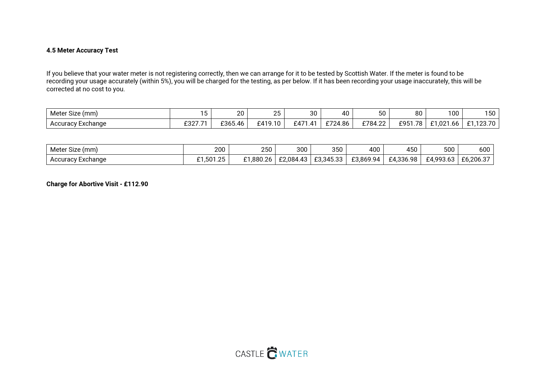#### 4.5 Meter Accuracy Test

If you believe that your water meter is not registering correctly, then we can arrange for it to be tested by Scottish Water. If the meter is found to be recording your usage accurately (within 5%), you will be charged for the testing, as per below. If it has been recording your usage inaccurately, this will be corrected at no cost to you.

| $\sim$ .<br>Meter<br>Size (mm) |                      | ንስ<br>ZU    | $\cap$<br>∠∪ | ว∩<br>ູບບ                              | 40              | 50                                         | 80                                   | 100                       | 150                               |
|--------------------------------|----------------------|-------------|--------------|----------------------------------------|-----------------|--------------------------------------------|--------------------------------------|---------------------------|-----------------------------------|
| Accuracy Exchange              | $0.027$ $74$<br>-527 | £365<br>.46 | £419.10      | f471<br>11<br>$\overline{\phantom{a}}$ | $\sim$<br>24.86 | $\overline{100}$<br>$^{\circ}784.$<br>T.L. | <b>78</b><br>ror <sup>.</sup><br>エフこ | 01.001<br>- -<br>1.021.66 | 100.70<br>$\sim$<br>20.7 U<br>. . |

| Meter<br>'mm)<br>Size | 200     | 250                         | 300                                                                     | 350                          | 400       | 450       | 500                           | 600       |
|-----------------------|---------|-----------------------------|-------------------------------------------------------------------------|------------------------------|-----------|-----------|-------------------------------|-----------|
| Exchange<br>Accuracy  | ,501.25 | $\sim$<br>,880.2<br>ົາ<br>ᅩ | $\sqrt{2}$<br>0.01<br>$\sim$<br>.U84.<br>$\overline{\phantom{a}}$<br>-- | 0.0150<br>-3715<br>⊥∪,∪+∪.∪∪ | £3,869.94 | £4.336.98 | $+490^{\circ}$<br>63<br>フつ いい | £6,206.37 |

Charge for Abortive Visit - £112.90

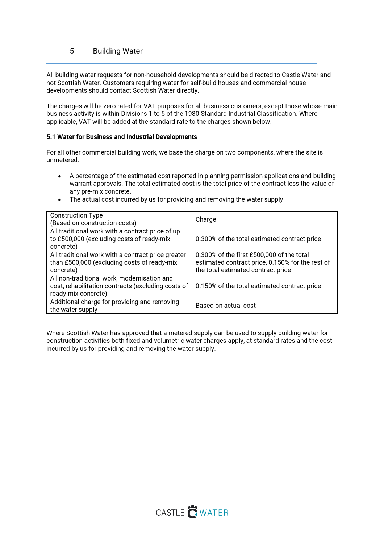## 5 Building Water

All building water requests for non-household developments should be directed to Castle Water and not Scottish Water. Customers requiring water for self-build houses and commercial house developments should contact Scottish Water directly.

The charges will be zero rated for VAT purposes for all business customers, except those whose main business activity is within Divisions 1 to 5 of the 1980 Standard Industrial Classification. Where applicable, VAT will be added at the standard rate to the charges shown below.

#### 5.1 Water for Business and Industrial Developments

For all other commercial building work, we base the charge on two components, where the site is unmetered:

- A percentage of the estimated cost reported in planning permission applications and building warrant approvals. The total estimated cost is the total price of the contract less the value of any pre-mix concrete.
- The actual cost incurred by us for providing and removing the water supply

| <b>Construction Type</b><br>(Based on construction costs)                                                                | Charge                                                                                                                              |
|--------------------------------------------------------------------------------------------------------------------------|-------------------------------------------------------------------------------------------------------------------------------------|
| All traditional work with a contract price of up<br>to £500,000 (excluding costs of ready-mix<br>concrete)               | 0.300% of the total estimated contract price                                                                                        |
| All traditional work with a contract price greater<br>than £500,000 (excluding costs of ready-mix<br>concrete)           | 0.300% of the first £500,000 of the total<br>estimated contract price, 0.150% for the rest of<br>the total estimated contract price |
| All non-traditional work, modernisation and<br>cost, rehabilitation contracts (excluding costs of<br>ready-mix concrete) | 0.150% of the total estimated contract price                                                                                        |
| Additional charge for providing and removing<br>the water supply                                                         | Based on actual cost                                                                                                                |

Where Scottish Water has approved that a metered supply can be used to supply building water for construction activities both fixed and volumetric water charges apply, at standard rates and the cost incurred by us for providing and removing the water supply.

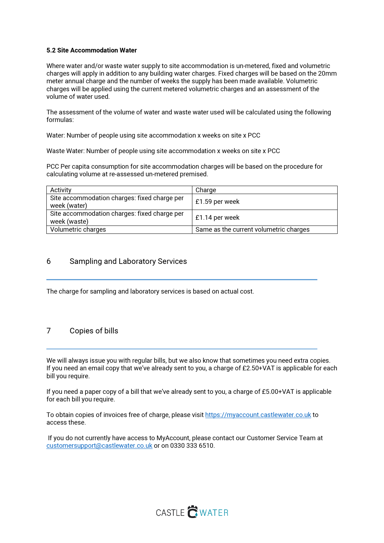#### 5.2 Site Accommodation Water

Where water and/or waste water supply to site accommodation is un-metered, fixed and volumetric charges will apply in addition to any building water charges. Fixed charges will be based on the 20mm meter annual charge and the number of weeks the supply has been made available. Volumetric charges will be applied using the current metered volumetric charges and an assessment of the volume of water used.

The assessment of the volume of water and waste water used will be calculated using the following formulas:

Water: Number of people using site accommodation x weeks on site x PCC

Waste Water: Number of people using site accommodation x weeks on site x PCC

PCC Per capita consumption for site accommodation charges will be based on the procedure for calculating volume at re-assessed un-metered premised.

| Activity                                                     | Charge                                 |
|--------------------------------------------------------------|----------------------------------------|
| Site accommodation charges: fixed charge per<br>week (water) | £1.59 per week                         |
| Site accommodation charges: fixed charge per<br>week (waste) | £1.14 per week                         |
| Volumetric charges                                           | Same as the current volumetric charges |

### 6 Sampling and Laboratory Services

The charge for sampling and laboratory services is based on actual cost.

## 7 Copies of bills

We will always issue you with regular bills, but we also know that sometimes you need extra copies. If you need an email copy that we've already sent to you, a charge of £2.50+VAT is applicable for each bill you require.

If you need a paper copy of a bill that we've already sent to you, a charge of £5.00+VAT is applicable for each bill you require.

To obtain copies of invoices free of charge, please visit https://myaccount.castlewater.co.uk to access these.

 If you do not currently have access to MyAccount, please contact our Customer Service Team at customersupport@castlewater.co.uk or on 0330 333 6510.

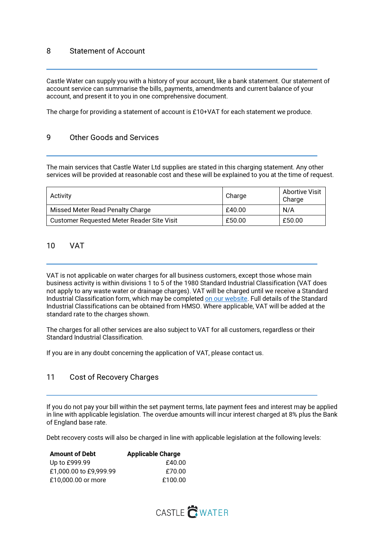## 8 Statement of Account

Castle Water can supply you with a history of your account, like a bank statement. Our statement of account service can summarise the bills, payments, amendments and current balance of your account, and present it to you in one comprehensive document.

The charge for providing a statement of account is £10+VAT for each statement we produce.

### 9 Other Goods and Services

The main services that Castle Water Ltd supplies are stated in this charging statement. Any other services will be provided at reasonable cost and these will be explained to you at the time of request.

| Activity                                   | Charge | Abortive Visit<br>Charge |
|--------------------------------------------|--------|--------------------------|
| Missed Meter Read Penalty Charge           | £40.00 | N/A                      |
| Customer Requested Meter Reader Site Visit | £50.00 | £50.00                   |

### 10 VAT

VAT is not applicable on water charges for all business customers, except those whose main business activity is within divisions 1 to 5 of the 1980 Standard Industrial Classification (VAT does not apply to any waste water or drainage charges). VAT will be charged until we receive a Standard Industrial Classification form, which may be completed on our website. Full details of the Standard Industrial Classifications can be obtained from HMSO. Where applicable, VAT will be added at the standard rate to the charges shown.

The charges for all other services are also subject to VAT for all customers, regardless or their Standard Industrial Classification.

If you are in any doubt concerning the application of VAT, please contact us.

### 11 Cost of Recovery Charges

If you do not pay your bill within the set payment terms, late payment fees and interest may be applied in line with applicable legislation. The overdue amounts will incur interest charged at 8% plus the Bank of England base rate.

Debt recovery costs will also be charged in line with applicable legislation at the following levels:

| <b>Amount of Debt</b>  | <b>Applicable Charge</b> |
|------------------------|--------------------------|
| Up to £999.99          | £40.00                   |
| £1,000.00 to £9,999.99 | £70.00                   |
| £10,000.00 or more     | £100.00                  |